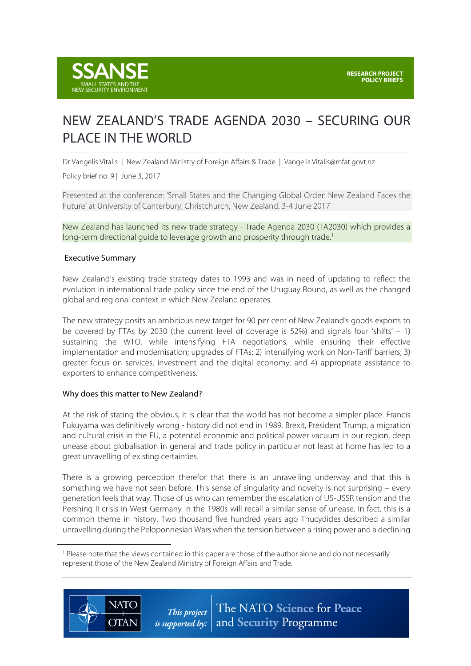

# NEW ZEALAND'S TRADE AGENDA 2030 – SECURING OUR PLACE IN THE WORLD

Dr Vangelis Vitalis | New Zealand Ministry of Foreign Affairs & Trade | Vangelis.Vitalis@mfat.govt.nz

Policy brief no. 9 | June 3, 2017

Presented at the conference: 'Small States and the Changing Global Order: New Zealand Faces the Future' at University of Canterbury, Christchurch, New Zealand, 3-4 June 2017

New Zealand has launched its new trade strategy - Trade Agenda 2030 (TA2030) which provides a long-term directional quide to leverage growth and prosperity through trade.<sup>1</sup>

#### Executive Summary

New Zealand's existing trade strategy dates to 1993 and was in need of updating to reflect the evolution in international trade policy since the end of the Uruguay Round, as well as the changed global and regional context in which New Zealand operates.

The new strategy posits an ambitious new target for 90 per cent of New Zealand's goods exports to be covered by FTAs by 2030 (the current level of coverage is 52%) and signals four 'shifts'  $-1$ ) sustaining the WTO, while intensifying FTA negotiations, while ensuring their effective implementation and modernisation; upgrades of FTAs; 2) intensifying work on Non-Tariff barriers; 3) greater focus on services, investment and the digital economy; and 4) appropriate assistance to exporters to enhance competitiveness.

#### Why does this matter to New Zealand?

At the risk of stating the obvious, it is clear that the world has not become a simpler place. Francis Fukuyama was definitively wrong - history did not end in 1989. Brexit, President Trump, a migration and cultural crisis in the EU, a potential economic and political power vacuum in our region, deep unease about globalisation in general and trade policy in particular not least at home has led to a great unravelling of existing certainties.

There is a growing perception therefor that there is an unravelling underway and that this is something we have not seen before. This sense of singularity and novelty is not surprising – every generation feels that way. Those of us who can remember the escalation of US-USSR tension and the Pershing II crisis in West Germany in the 1980s will recall a similar sense of unease. In fact, this is a common theme in history. Two thousand five hundred years ago Thucydides described a similar unravelling during the Peloponnesian Wars when the tension between a rising power and a declining

<sup>1</sup> Please note that the views contained in this paper are those of the author alone and do not necessarily represent those of the New Zealand Ministry of Foreign Affairs and Trade.



 $\overline{a}$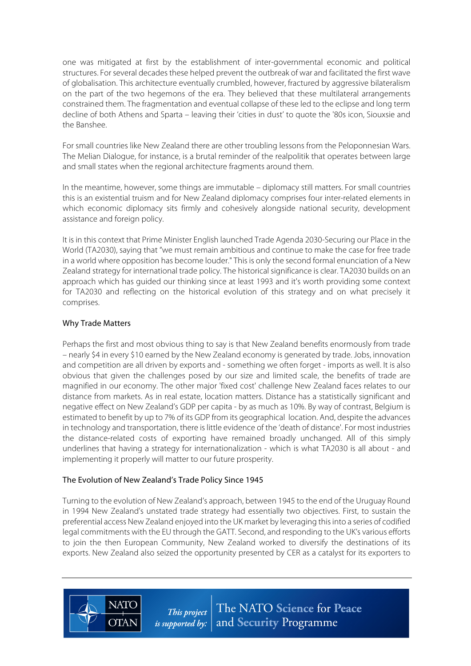one was mitigated at first by the establishment of inter-governmental economic and political structures. For several decades these helped prevent the outbreak of war and facilitated the first wave of globalisation. This architecture eventually crumbled, however, fractured by aggressive bilateralism on the part of the two hegemons of the era. They believed that these multilateral arrangements constrained them. The fragmentation and eventual collapse of these led to the eclipse and long term decline of both Athens and Sparta – leaving their 'cities in dust' to quote the '80s icon, Siouxsie and the Banshee.

For small countries like New Zealand there are other troubling lessons from the Peloponnesian Wars. The Melian Dialogue, for instance, is a brutal reminder of the realpolitik that operates between large and small states when the regional architecture fragments around them.

In the meantime, however, some things are immutable – diplomacy still matters. For small countries this is an existential truism and for New Zealand diplomacy comprises four inter-related elements in which economic diplomacy sits firmly and cohesively alongside national security, development assistance and foreign policy.

It is in this context that Prime Minister English launched Trade Agenda 2030-Securing our Place in the World (TA2030), saying that "we must remain ambitious and continue to make the case for free trade in a world where opposition has become louder." This is only the second formal enunciation of a New Zealand strategy for international trade policy. The historical significance is clear. TA2030 builds on an approach which has guided our thinking since at least 1993 and it's worth providing some context for TA2030 and reflecting on the historical evolution of this strategy and on what precisely it comprises.

# Why Trade Matters

Perhaps the first and most obvious thing to say is that New Zealand benefits enormously from trade – nearly \$4 in every \$10 earned by the New Zealand economy is generated by trade. Jobs, innovation and competition are all driven by exports and - something we often forget - imports as well. It is also obvious that given the challenges posed by our size and limited scale, the benefits of trade are magnified in our economy. The other major 'fixed cost' challenge New Zealand faces relates to our distance from markets. As in real estate, location matters. Distance has a statistically significant and negative effect on New Zealand's GDP per capita - by as much as 10%. By way of contrast, Belgium is estimated to benefit by up to 7% of its GDP from its geographical location. And, despite the advances in technology and transportation, there is little evidence of the 'death of distance'. For most industries the distance-related costs of exporting have remained broadly unchanged. All of this simply underlines that having a strategy for internationalization - which is what TA2030 is all about - and implementing it properly will matter to our future prosperity.

### The Evolution of New Zealand's Trade Policy Since 1945

**NATO** 

**OTAN** 

Turning to the evolution of New Zealand's approach, between 1945 to the end of the Uruguay Round in 1994 New Zealand's unstated trade strategy had essentially two objectives. First, to sustain the preferential access New Zealand enjoyed into the UK market by leveraging thisinto a series of codified legal commitments with the EU through the GATT. Second, and responding to the UK's various efforts to join the then European Community, New Zealand worked to diversify the destinations of its exports. New Zealand also seized the opportunity presented by CER as a catalyst for its exporters to

> The NATO Science for Peace This project and Security Programme is supported by:  $\vert$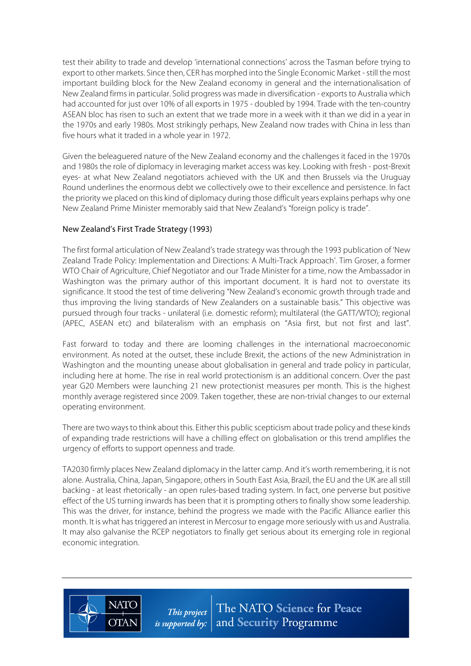test their ability to trade and develop 'international connections' across the Tasman before trying to export to other markets. Since then, CER has morphed into the Single Economic Market - still the most important building block for the New Zealand economy in general and the internationalisation of New Zealand firms in particular. Solid progress was made in diversification - exports to Australia which had accounted for just over 10% of all exports in 1975 - doubled by 1994. Trade with the ten-country ASEAN bloc has risen to such an extent that we trade more in a week with it than we did in a year in the 1970s and early 1980s. Most strikingly perhaps, New Zealand now trades with China in less than five hours what it traded in a whole year in 1972.

Given the beleaguered nature of the New Zealand economy and the challenges it faced in the 1970s and 1980s the role of diplomacy in leveraging market access was key. Looking with fresh - post-Brexit eyes- at what New Zealand negotiators achieved with the UK and then Brussels via the Uruguay Round underlines the enormous debt we collectively owe to their excellence and persistence. In fact the priority we placed on this kind of diplomacy during those difficult years explains perhaps why one New Zealand Prime Minister memorably said that New Zealand's "foreign policy is trade".

# New Zealand's First Trade Strategy (1993)

**NATC** 

**OTAN** 

The first formal articulation of New Zealand's trade strategy was through the 1993 publication of 'New Zealand Trade Policy: Implementation and Directions: A Multi-Track Approach'. Tim Groser, a former WTO Chair of Agriculture, Chief Negotiator and our Trade Minister for a time, now the Ambassador in Washington was the primary author of this important document. It is hard not to overstate its significance. It stood the test of time delivering "New Zealand's economic growth through trade and thus improving the living standards of New Zealanders on a sustainable basis." This objective was pursued through four tracks - unilateral (i.e. domestic reform); multilateral (the GATT/WTO); regional (APEC, ASEAN etc) and bilateralism with an emphasis on "Asia first, but not first and last".

Fast forward to today and there are looming challenges in the international macroeconomic environment. As noted at the outset, these include Brexit, the actions of the new Administration in Washington and the mounting unease about globalisation in general and trade policy in particular, including here at home. The rise in real world protectionism is an additional concern. Over the past year G20 Members were launching 21 new protectionist measures per month. This is the highest monthly average registered since 2009. Taken together, these are non-trivial changes to our external operating environment.

There are two ways to think about this. Either this public scepticism about trade policy and these kinds of expanding trade restrictions will have a chilling effect on globalisation or this trend amplifies the urgency of efforts to support openness and trade.

TA2030 firmly places New Zealand diplomacy in the latter camp. And it's worth remembering, it is not alone. Australia, China, Japan, Singapore, others in South East Asia, Brazil, the EU and the UK are all still backing - at least rhetorically - an open rules-based trading system. In fact, one perverse but positive effect of the US turning inwards has been that it is prompting others to finally show some leadership. This was the driver, for instance, behind the progress we made with the Pacific Alliance earlier this month. It is what has triggered an interest in Mercosur to engage more seriously with us and Australia. It may also galvanise the RCEP negotiators to finally get serious about its emerging role in regional economic integration.

> The NATO Science for Peace This project and Security Programme *is supported by:*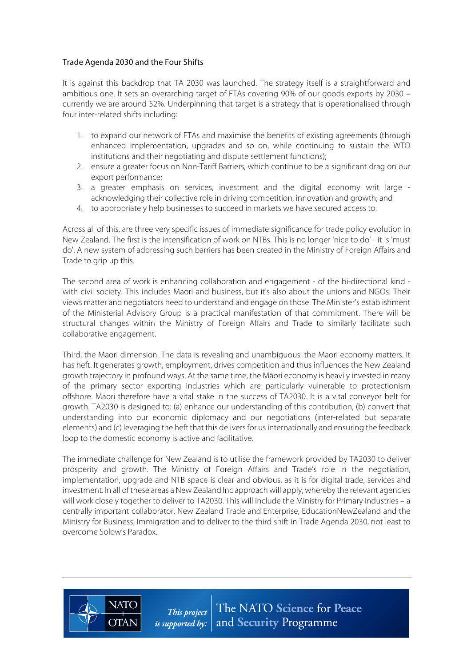# Trade Agenda 2030 and the Four Shifts

**NATO** 

**OTAN** 

It is against this backdrop that TA 2030 was launched. The strategy itself is a straightforward and ambitious one. It sets an overarching target of FTAs covering 90% of our goods exports by 2030 – currently we are around 52%. Underpinning that target is a strategy that is operationalised through four inter-related shifts including:

- 1. to expand our network of FTAs and maximise the benefits of existing agreements (through enhanced implementation, upgrades and so on, while continuing to sustain the WTO institutions and their negotiating and dispute settlement functions);
- 2. ensure a greater focus on Non-Tariff Barriers, which continue to be a significant drag on our export performance;
- 3. a greater emphasis on services, investment and the digital economy writ large acknowledging their collective role in driving competition, innovation and growth; and
- 4. to appropriately help businesses to succeed in markets we have secured access to.

Across all of this, are three very specific issues of immediate significance for trade policy evolution in New Zealand. The first is the intensification of work on NTBs. This is no longer 'nice to do' - it is 'must do'. A new system of addressing such barriers has been created in the Ministry of Foreign Affairs and Trade to grip up this.

The second area of work is enhancing collaboration and engagement - of the bi-directional kind with civil society. This includes Maori and business, but it's also about the unions and NGOs. Their views matter and negotiators need to understand and engage on those. The Minister's establishment of the Ministerial Advisory Group is a practical manifestation of that commitment. There will be structural changes within the Ministry of Foreign Affairs and Trade to similarly facilitate such collaborative engagement.

Third, the Maori dimension. The data is revealing and unambiguous: the Maori economy matters. It has heft. It generates growth, employment, drives competition and thus influences the New Zealand growth trajectory in profound ways. At the same time, the Māori economy is heavily invested in many of the primary sector exporting industries which are particularly vulnerable to protectionism offshore. Māori therefore have a vital stake in the success of TA2030. It is a vital conveyor belt for growth. TA2030 is designed to: (a) enhance our understanding of this contribution; (b) convert that understanding into our economic diplomacy and our negotiations (inter-related but separate elements) and (c) leveraging the heft that this delivers for us internationally and ensuring the feedback loop to the domestic economy is active and facilitative.

The immediate challenge for New Zealand is to utilise the framework provided by TA2030 to deliver prosperity and growth. The Ministry of Foreign Affairs and Trade's role in the negotiation, implementation, upgrade and NTB space is clear and obvious, as it is for digital trade, services and investment. In all of these areas a New Zealand Inc approach will apply, whereby the relevant agencies will work closely together to deliver to TA2030. This will include the Ministry for Primary Industries – a centrally important collaborator, New Zealand Trade and Enterprise, EducationNewZealand and the Ministry for Business, Immigration and to deliver to the third shift in Trade Agenda 2030, not least to overcome Solow's Paradox.